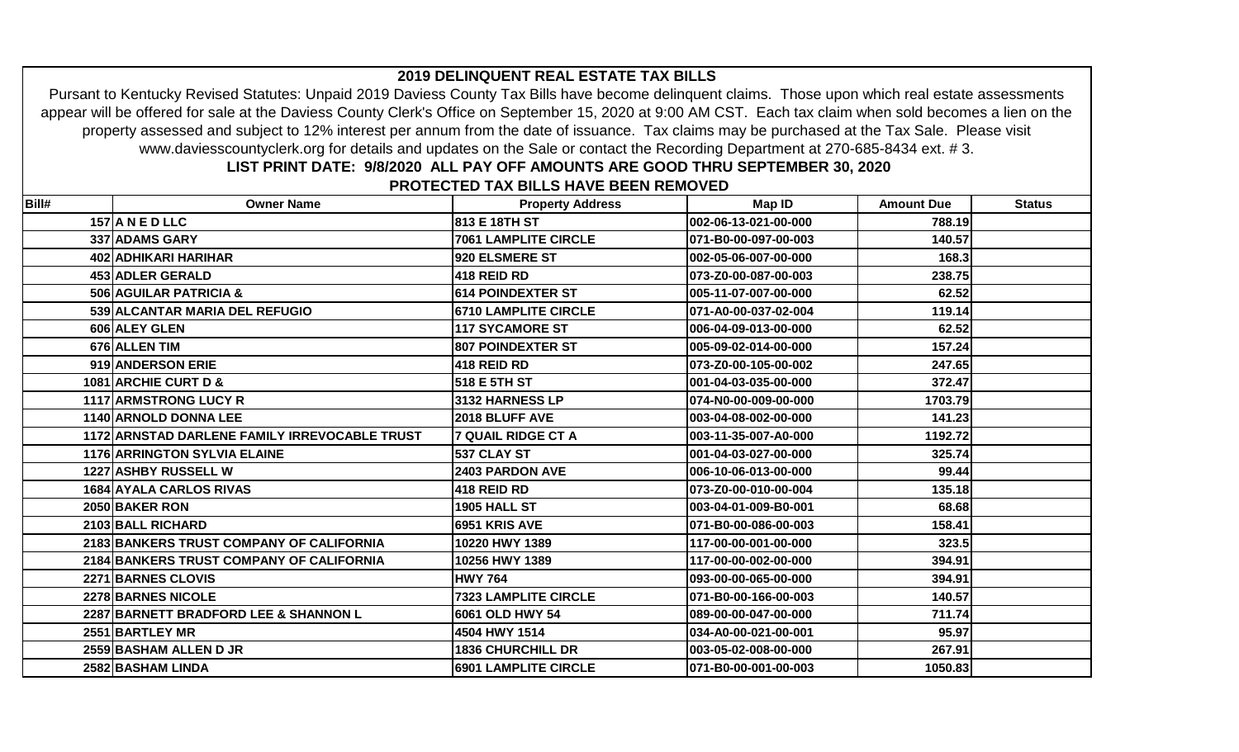## Pursant to Kentucky Revised Statutes: Unpaid 2019 Daviess County Tax Bills have become delinquent claims. Those upon which real estate assessments appear will be offered for sale at the Daviess County Clerk's Office on September 15, 2020 at 9:00 AM CST. Each tax claim when sold becomes a lien on the property assessed and subject to 12% interest per annum from the date of issuance. Tax claims may be purchased at the Tax Sale. Please visit www.daviesscountyclerk.org for details and updates on the Sale or contact the Recording Department at 270-685-8434 ext. # 3.

**2019 DELINQUENT REAL ESTATE TAX BILLS**

## **LIST PRINT DATE: 9/8/2020 ALL PAY OFF AMOUNTS ARE GOOD THRU SEPTEMBER 30, 2020**

 **PROTECTED TAX BILLS HAVE BEEN REMOVED**

| Bill# | <b>Owner Name</b>                             | <b>Property Address</b>     | Map ID                | <b>Amount Due</b> | <b>Status</b> |
|-------|-----------------------------------------------|-----------------------------|-----------------------|-------------------|---------------|
|       | $157$ ANED LLC                                | 813 E 18TH ST               | 002-06-13-021-00-000  | 788.19            |               |
|       | 337 ADAMS GARY                                | <b>7061 LAMPLITE CIRCLE</b> | 071-B0-00-097-00-003  | 140.57            |               |
|       | 402 ADHIKARI HARIHAR                          | 920 ELSMERE ST              | 002-05-06-007-00-000  | 168.3             |               |
|       | 453 ADLER GERALD                              | 418 REID RD                 | 073-Z0-00-087-00-003  | 238.75            |               |
|       | 506 AGUILAR PATRICIA &                        | 614 POINDEXTER ST           | 005-11-07-007-00-000  | 62.52             |               |
|       | 539 ALCANTAR MARIA DEL REFUGIO                | <b>6710 LAMPLITE CIRCLE</b> | l071-A0-00-037-02-004 | 119.14            |               |
|       | 606 ALEY GLEN                                 | <b>117 SYCAMORE ST</b>      | 006-04-09-013-00-000  | 62.52             |               |
|       | 676 ALLEN TIM                                 | <b>807 POINDEXTER ST</b>    | 005-09-02-014-00-000  | 157.24            |               |
|       | 919 ANDERSON ERIE                             | 418 REID RD                 | 073-Z0-00-105-00-002  | 247.65            |               |
|       | 1081 ARCHIE CURT D &                          | 518 E 5TH ST                | 001-04-03-035-00-000  | 372.47            |               |
|       | 1117 ARMSTRONG LUCY R                         | 3132 HARNESS LP             | 074-N0-00-009-00-000  | 1703.79           |               |
|       | 1140 ARNOLD DONNA LEE                         | 2018 BLUFF AVE              | 003-04-08-002-00-000  | 141.23            |               |
|       | 1172 ARNSTAD DARLENE FAMILY IRREVOCABLE TRUST | 7 QUAIL RIDGE CT A          | 003-11-35-007-A0-000  | 1192.72           |               |
|       | <b>1176 ARRINGTON SYLVIA ELAINE</b>           | 537 CLAY ST                 | 001-04-03-027-00-000  | 325.74            |               |
|       | <b>1227 ASHBY RUSSELL W</b>                   | <b>2403 PARDON AVE</b>      | 006-10-06-013-00-000  | 99.44             |               |
|       | 1684 AYALA CARLOS RIVAS                       | 418 REID RD                 | 073-Z0-00-010-00-004  | 135.18            |               |
|       | 2050 BAKER RON                                | <b>1905 HALL ST</b>         | 003-04-01-009-B0-001  | 68.68             |               |
|       | 2103 BALL RICHARD                             | 6951 KRIS AVE               | 071-B0-00-086-00-003  | 158.41            |               |
|       | 2183 BANKERS TRUST COMPANY OF CALIFORNIA      | 10220 HWY 1389              | 117-00-00-001-00-000  | 323.5             |               |
|       | 2184 BANKERS TRUST COMPANY OF CALIFORNIA      | 10256 HWY 1389              | 117-00-00-002-00-000  | 394.91            |               |
|       | 2271 BARNES CLOVIS                            | <b>HWY 764</b>              | 093-00-00-065-00-000  | 394.91            |               |
|       | <b>2278 BARNES NICOLE</b>                     | <b>7323 LAMPLITE CIRCLE</b> | 071-B0-00-166-00-003  | 140.57            |               |
|       | 2287 BARNETT BRADFORD LEE & SHANNON L         | 6061 OLD HWY 54             | 089-00-00-047-00-000  | 711.74            |               |
|       | 2551 BARTLEY MR                               | 4504 HWY 1514               | 034-A0-00-021-00-001  | 95.97             |               |
|       | 2559 BASHAM ALLEN D JR                        | <b>1836 CHURCHILL DR</b>    | 003-05-02-008-00-000  | 267.91            |               |
|       | 2582 BASHAM LINDA                             | <b>6901 LAMPLITE CIRCLE</b> | 071-B0-00-001-00-003  | 1050.83           |               |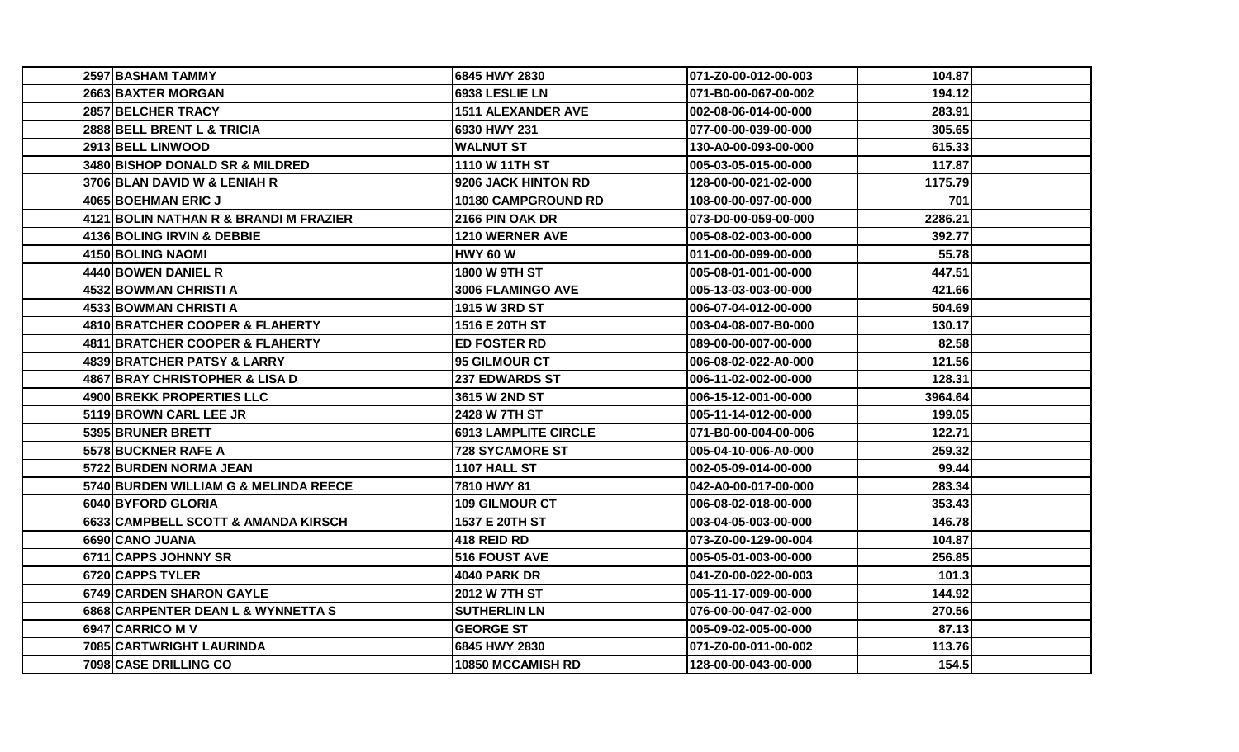| 2597 BASHAM TAMMY                      | 6845 HWY 2830               | 071-Z0-00-012-00-003  | 104.87  |  |
|----------------------------------------|-----------------------------|-----------------------|---------|--|
| 2663 BAXTER MORGAN                     | 6938 LESLIE LN              | l071-B0-00-067-00-002 | 194.12  |  |
| 2857 BELCHER TRACY                     | <b>1511 ALEXANDER AVE</b>   | l002-08-06-014-00-000 | 283.91  |  |
| 2888 BELL BRENT L & TRICIA             | 6930 HWY 231                | 1077-00-00-039-00-000 | 305.65  |  |
| 2913 BELL LINWOOD                      | WALNUT ST                   | 130-A0-00-093-00-000  | 615.33  |  |
| 3480 BISHOP DONALD SR & MILDRED        | <b>1110 W 11TH ST</b>       | 005-03-05-015-00-000  | 117.87  |  |
| 3706 BLAN DAVID W & LENIAH R           | 9206 JACK HINTON RD         | 128-00-00-021-02-000  | 1175.79 |  |
| 4065 BOEHMAN ERIC J                    | 10180 CAMPGROUND RD         | 108-00-00-097-00-000  | 701     |  |
| 4121 BOLIN NATHAN R & BRANDI M FRAZIER | 2166 PIN OAK DR             | l073-D0-00-059-00-000 | 2286.21 |  |
| 4136 BOLING IRVIN & DEBBIE             | <b>1210 WERNER AVE</b>      | 1005-08-02-003-00-000 | 392.77  |  |
| 4150 BOLING NAOMI                      | <b>HWY 60 W</b>             | l011-00-00-099-00-000 | 55.78   |  |
| 4440 BOWEN DANIEL R                    | <b>1800 W 9TH ST</b>        | l005-08-01-001-00-000 | 447.51  |  |
| <b>4532 BOWMAN CHRISTI A</b>           | 3006 FLAMINGO AVE           | 005-13-03-003-00-000  | 421.66  |  |
| 4533 BOWMAN CHRISTI A                  | <b>1915 W 3RD ST</b>        | l006-07-04-012-00-000 | 504.69  |  |
| 4810 BRATCHER COOPER & FLAHERTY        | 1516 E 20TH ST              | l003-04-08-007-B0-000 | 130.17  |  |
| 4811 BRATCHER COOPER & FLAHERTY        | <b>ED FOSTER RD</b>         | 089-00-00-007-00-000  | 82.58   |  |
| 4839 BRATCHER PATSY & LARRY            | <b>95 GILMOUR CT</b>        | l006-08-02-022-A0-000 | 121.56  |  |
| 4867 BRAY CHRISTOPHER & LISA D         | <b>237 EDWARDS ST</b>       | 006-11-02-002-00-000  | 128.31  |  |
| 4900 BREKK PROPERTIES LLC              | <b>3615 W 2ND ST</b>        | l006-15-12-001-00-000 | 3964.64 |  |
| 5119 BROWN CARL LEE JR                 | <b>2428 W 7TH ST</b>        | 1005-11-14-012-00-000 | 199.05  |  |
| 5395 BRUNER BRETT                      | <b>6913 LAMPLITE CIRCLE</b> | 071-B0-00-004-00-006  | 122.71  |  |
| 5578 BUCKNER RAFE A                    | 728 SYCAMORE ST             | l005-04-10-006-A0-000 | 259.32  |  |
| 5722 BURDEN NORMA JEAN                 | 1107 HALL ST                | 002-05-09-014-00-000  | 99.44   |  |
| 5740 BURDEN WILLIAM G & MELINDA REECE  | 7810 HWY 81                 | l042-A0-00-017-00-000 | 283.34  |  |
| 6040 BYFORD GLORIA                     | <b>109 GILMOUR CT</b>       | l006-08-02-018-00-000 | 353.43  |  |
| 6633 CAMPBELL SCOTT & AMANDA KIRSCH    | 1537 E 20TH ST              | 003-04-05-003-00-000  | 146.78  |  |
| 6690 CANO JUANA                        | 418 REID RD                 | l073-Z0-00-129-00-004 | 104.87  |  |
| 6711 CAPPS JOHNNY SR                   | <b>516 FOUST AVE</b>        | 005-05-01-003-00-000  | 256.85  |  |
| 6720 CAPPS TYLER                       | <b>4040 PARK DR</b>         | l041-Z0-00-022-00-003 | 101.3   |  |
| 6749 CARDEN SHARON GAYLE               | 2012 W 7TH ST               | l005-11-17-009-00-000 | 144.92  |  |
| 6868 CARPENTER DEAN L & WYNNETTA S     | <b>SUTHERLIN LN</b>         | 076-00-00-047-02-000  | 270.56  |  |
| 6947 CARRICO M V                       | <b>GEORGE ST</b>            | l005-09-02-005-00-000 | 87.13   |  |
| 7085 CARTWRIGHT LAURINDA               | 6845 HWY 2830               | 071-Z0-00-011-00-002  | 113.76  |  |
| 7098 CASE DRILLING CO                  | 10850 MCCAMISH RD           | 128-00-00-043-00-000  | 154.5   |  |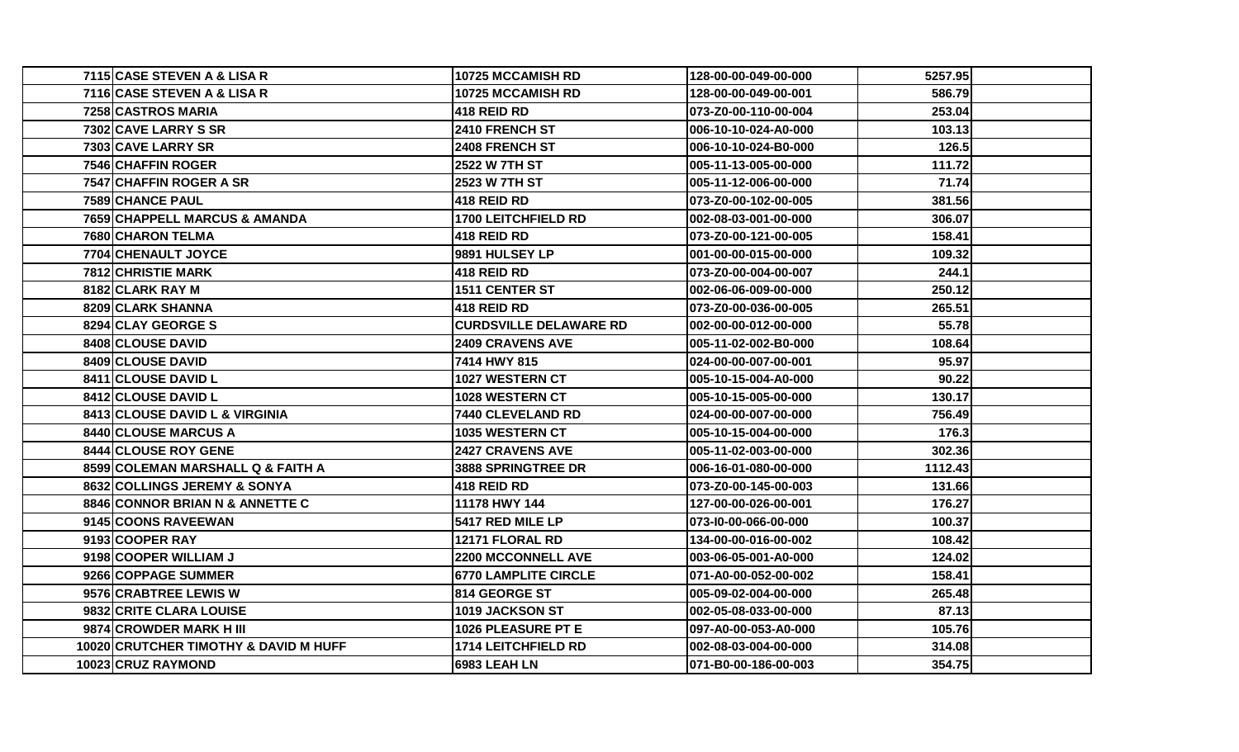| 7115 CASE STEVEN A & LISA R           | 10725 MCCAMISH RD             | 128-00-00-049-00-000 | 5257.95 |  |
|---------------------------------------|-------------------------------|----------------------|---------|--|
| 7116 CASE STEVEN A & LISA R           | <b>10725 MCCAMISH RD</b>      | 128-00-00-049-00-001 | 586.79  |  |
| 7258 CASTROS MARIA                    | <b>418 REID RD</b>            | 073-Z0-00-110-00-004 | 253.04  |  |
| 7302 CAVE LARRY S SR                  | <b>2410 FRENCH ST</b>         | 006-10-10-024-A0-000 | 103.13  |  |
| 7303 CAVE LARRY SR                    | <b>2408 FRENCH ST</b>         | 006-10-10-024-B0-000 | 126.5   |  |
| 7546 CHAFFIN ROGER                    | <b>2522 W 7TH ST</b>          | 005-11-13-005-00-000 | 111.72  |  |
| 7547 CHAFFIN ROGER A SR               | 2523 W 7TH ST                 | 005-11-12-006-00-000 | 71.74   |  |
| 7589 CHANCE PAUL                      | <b>418 REID RD</b>            | 073-Z0-00-102-00-005 | 381.56  |  |
| 7659 CHAPPELL MARCUS & AMANDA         | 1700 LEITCHFIELD RD           | 002-08-03-001-00-000 | 306.07  |  |
| 7680 CHARON TELMA                     | <b>418 REID RD</b>            | 073-Z0-00-121-00-005 | 158.41  |  |
| 7704 CHENAULT JOYCE                   | 9891 HULSEY LP                | 001-00-00-015-00-000 | 109.32  |  |
| <b>7812 CHRISTIE MARK</b>             | <b>418 REID RD</b>            | 073-Z0-00-004-00-007 | 244.1   |  |
| 8182 CLARK RAY M                      | 1511 CENTER ST                | 002-06-06-009-00-000 | 250.12  |  |
| 8209 CLARK SHANNA                     | <b>1418 REID RD</b>           | 073-Z0-00-036-00-005 | 265.51  |  |
| 8294 CLAY GEORGE S                    | <b>CURDSVILLE DELAWARE RD</b> | 002-00-00-012-00-000 | 55.78   |  |
| 8408 CLOUSE DAVID                     | <b>2409 CRAVENS AVE</b>       | 005-11-02-002-B0-000 | 108.64  |  |
| 8409 CLOUSE DAVID                     | 7414 HWY 815                  | 024-00-00-007-00-001 | 95.97   |  |
| 8411 CLOUSE DAVID L                   | <b>1027 WESTERN CT</b>        | 005-10-15-004-A0-000 | 90.22   |  |
| 8412 CLOUSE DAVID L                   | 1028 WESTERN CT               | 005-10-15-005-00-000 | 130.17  |  |
| 8413 CLOUSE DAVID L & VIRGINIA        | <b>7440 CLEVELAND RD</b>      | 024-00-00-007-00-000 | 756.49  |  |
| 8440 CLOUSE MARCUS A                  | 1035 WESTERN CT               | 005-10-15-004-00-000 | 176.3   |  |
| 8444 CLOUSE ROY GENE                  | <b>2427 CRAVENS AVE</b>       | 005-11-02-003-00-000 | 302.36  |  |
| 8599 COLEMAN MARSHALL Q & FAITH A     | 3888 SPRINGTREE DR            | 006-16-01-080-00-000 | 1112.43 |  |
| 8632 COLLINGS JEREMY & SONYA          | <b>418 REID RD</b>            | 073-Z0-00-145-00-003 | 131.66  |  |
| 8846 CONNOR BRIAN N & ANNETTE C       | 11178 HWY 144                 | 127-00-00-026-00-001 | 176.27  |  |
| 9145 COONS RAVEEWAN                   | 5417 RED MILE LP              | 073-10-00-066-00-000 | 100.37  |  |
| 9193 COOPER RAY                       | 12171 FLORAL RD               | 134-00-00-016-00-002 | 108.42  |  |
| 9198 COOPER WILLIAM J                 | <b>2200 MCCONNELL AVE</b>     | 003-06-05-001-A0-000 | 124.02  |  |
| 9266 COPPAGE SUMMER                   | <b>6770 LAMPLITE CIRCLE</b>   | 071-A0-00-052-00-002 | 158.41  |  |
| 9576 CRABTREE LEWIS W                 | <b>814 GEORGE ST</b>          | 005-09-02-004-00-000 | 265.48  |  |
| 9832 CRITE CLARA LOUISE               | 1019 JACKSON ST               | 002-05-08-033-00-000 | 87.13   |  |
| 9874 CROWDER MARK H III               | <b>1026 PLEASURE PT E</b>     | 097-A0-00-053-A0-000 | 105.76  |  |
| 10020 CRUTCHER TIMOTHY & DAVID M HUFF | 1714 LEITCHFIELD RD           | 002-08-03-004-00-000 | 314.08  |  |
| 10023 CRUZ RAYMOND                    | <b>6983 LEAH LN</b>           | 071-B0-00-186-00-003 | 354.75  |  |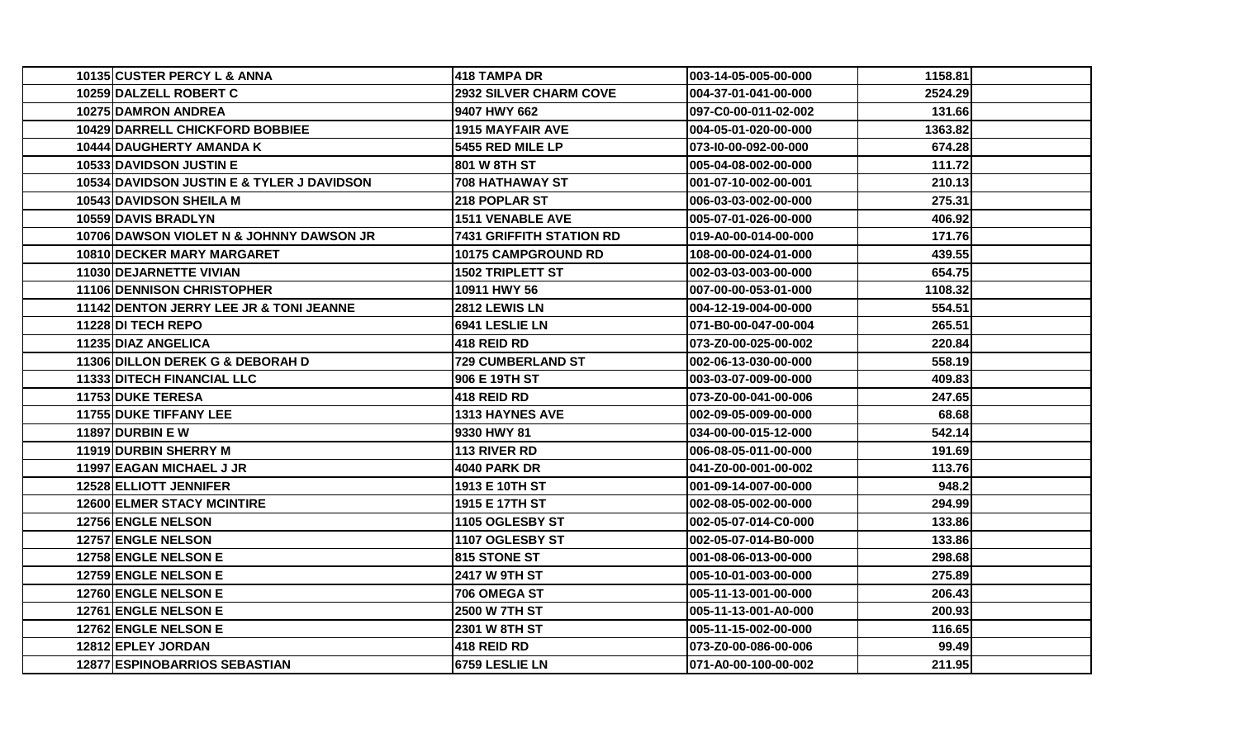| 10135 CUSTER PERCY L & ANNA                | 418 TAMPA DR                    | 003-14-05-005-00-000  | 1158.81 |  |
|--------------------------------------------|---------------------------------|-----------------------|---------|--|
| 10259 DALZELL ROBERT C                     | <b>2932 SILVER CHARM COVE</b>   | 004-37-01-041-00-000  | 2524.29 |  |
| 10275 DAMRON ANDREA                        | 9407 HWY 662                    | 097-C0-00-011-02-002  | 131.66  |  |
| <b>10429 DARRELL CHICKFORD BOBBIEE</b>     | <b>1915 MAYFAIR AVE</b>         | 004-05-01-020-00-000  | 1363.82 |  |
| 10444 DAUGHERTY AMANDA K                   | 5455 RED MILE LP                | 073-10-00-092-00-000  | 674.28  |  |
| 10533 DAVIDSON JUSTIN E                    | 801 W 8TH ST                    | 005-04-08-002-00-000  | 111.72  |  |
| 10534 DAVIDSON JUSTIN E & TYLER J DAVIDSON | <b>708 HATHAWAY ST</b>          | 001-07-10-002-00-001  | 210.13  |  |
| 10543 DAVIDSON SHEILA M                    | 218 POPLAR ST                   | 006-03-03-002-00-000  | 275.31  |  |
| <b>10559 DAVIS BRADLYN</b>                 | <b>1511 VENABLE AVE</b>         | 005-07-01-026-00-000  | 406.92  |  |
| 10706 DAWSON VIOLET N & JOHNNY DAWSON JR   | <b>7431 GRIFFITH STATION RD</b> | 019-A0-00-014-00-000  | 171.76  |  |
| 10810 DECKER MARY MARGARET                 | 10175 CAMPGROUND RD             | 108-00-00-024-01-000  | 439.55  |  |
| 11030 DEJARNETTE VIVIAN                    | <b>1502 TRIPLETT ST</b>         | 002-03-03-003-00-000  | 654.75  |  |
| 11106 DENNISON CHRISTOPHER                 | 10911 HWY 56                    | 007-00-00-053-01-000  | 1108.32 |  |
| 11142 DENTON JERRY LEE JR & TONI JEANNE    | 2812 LEWIS LN                   | 004-12-19-004-00-000  | 554.51  |  |
| 11228 DI TECH REPO                         | 6941 LESLIE LN                  | 071-B0-00-047-00-004  | 265.51  |  |
| 11235 DIAZ ANGELICA                        | <b>418 REID RD</b>              | 073-Z0-00-025-00-002  | 220.84  |  |
| 11306 DILLON DEREK G & DEBORAH D           | <b>729 CUMBERLAND ST</b>        | 002-06-13-030-00-000  | 558.19  |  |
| 11333 DITECH FINANCIAL LLC                 | 906 E 19TH ST                   | 003-03-07-009-00-000  | 409.83  |  |
| <b>11753 DUKE TERESA</b>                   | <b>418 REID RD</b>              | l073-Z0-00-041-00-006 | 247.65  |  |
| <b>11755 DUKE TIFFANY LEE</b>              | <b>1313 HAYNES AVE</b>          | 002-09-05-009-00-000  | 68.68   |  |
| <b>11897 DURBIN E W</b>                    | 9330 HWY 81                     | 034-00-00-015-12-000  | 542.14  |  |
| 11919 DURBIN SHERRY M                      | 113 RIVER RD                    | 006-08-05-011-00-000  | 191.69  |  |
| 11997 EAGAN MICHAEL J JR                   | <b>4040 PARK DR</b>             | 041-Z0-00-001-00-002  | 113.76  |  |
| 12528 ELLIOTT JENNIFER                     | 1913 E 10TH ST                  | 001-09-14-007-00-000  | 948.2   |  |
| <b>12600 ELMER STACY MCINTIRE</b>          | 1915 E 17TH ST                  | 002-08-05-002-00-000  | 294.99  |  |
| 12756 ENGLE NELSON                         | 1105 OGLESBY ST                 | 002-05-07-014-C0-000  | 133.86  |  |
| 12757 ENGLE NELSON                         | 1107 OGLESBY ST                 | 002-05-07-014-B0-000  | 133.86  |  |
| 12758 ENGLE NELSON E                       | 815 STONE ST                    | 001-08-06-013-00-000  | 298.68  |  |
| <b>12759 ENGLE NELSON E</b>                | <b>2417 W 9TH ST</b>            | 005-10-01-003-00-000  | 275.89  |  |
| 12760 ENGLE NELSON E                       | 706 OMEGA ST                    | 005-11-13-001-00-000  | 206.43  |  |
| 12761 ENGLE NELSON E                       | 2500 W 7TH ST                   | 005-11-13-001-A0-000  | 200.93  |  |
| 12762 ENGLE NELSON E                       | <b>2301 W 8TH ST</b>            | 005-11-15-002-00-000  | 116.65  |  |
| 12812 EPLEY JORDAN                         | 418 REID RD                     | 073-Z0-00-086-00-006  | 99.49   |  |
| <b>12877 ESPINOBARRIOS SEBASTIAN</b>       | <b>6759 LESLIE LN</b>           | 071-A0-00-100-00-002  | 211.95  |  |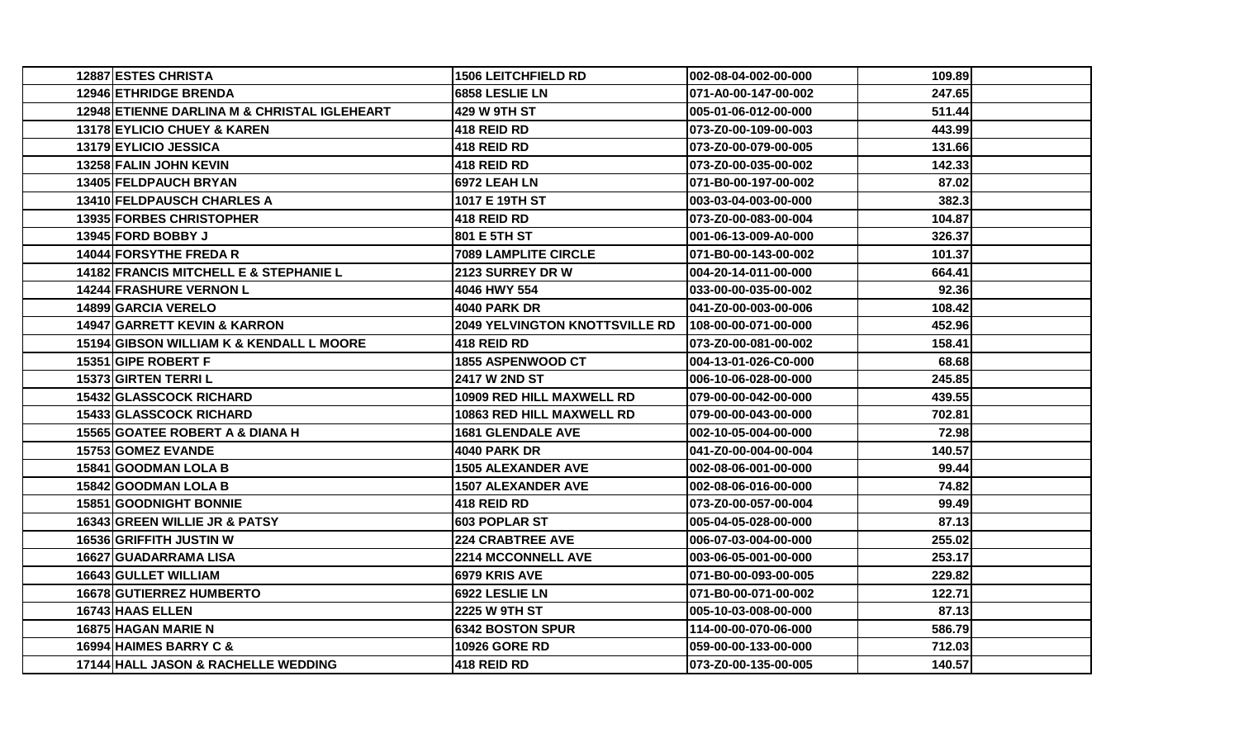| 12887 ESTES CHRISTA                          | 1506 LEITCHFIELD RD                   | 002-08-04-002-00-000 | 109.89 |
|----------------------------------------------|---------------------------------------|----------------------|--------|
| 12946 ETHRIDGE BRENDA                        | 6858 LESLIE LN                        | 071-A0-00-147-00-002 | 247.65 |
| 12948 ETIENNE DARLINA M & CHRISTAL IGLEHEART | 429 W 9TH ST                          | 005-01-06-012-00-000 | 511.44 |
| 13178 EYLICIO CHUEY & KAREN                  | 418 REID RD                           | 073-Z0-00-109-00-003 | 443.99 |
| 13179 EYLICIO JESSICA                        | 418 REID RD                           | 073-Z0-00-079-00-005 | 131.66 |
| 13258 FALIN JOHN KEVIN                       | 418 REID RD                           | 073-Z0-00-035-00-002 | 142.33 |
| 13405 FELDPAUCH BRYAN                        | 6972 LEAH LN                          | 071-B0-00-197-00-002 | 87.02  |
| 13410 FELDPAUSCH CHARLES A                   | 1017 E 19TH ST                        | 003-03-04-003-00-000 | 382.3  |
| <b>13935 FORBES CHRISTOPHER</b>              | <b>418 REID RD</b>                    | 073-Z0-00-083-00-004 | 104.87 |
| <b>13945 FORD BOBBY J</b>                    | 801 E 5TH ST                          | 001-06-13-009-A0-000 | 326.37 |
| 14044 FORSYTHE FREDAR                        | <b>7089 LAMPLITE CIRCLE</b>           | 071-B0-00-143-00-002 | 101.37 |
| 14182 FRANCIS MITCHELL E & STEPHANIE L       | 2123 SURREY DR W                      | 004-20-14-011-00-000 | 664.41 |
| <b>14244 FRASHURE VERNON L</b>               | 4046 HWY 554                          | 033-00-00-035-00-002 | 92.36  |
| 14899 GARCIA VERELO                          | <b>4040 PARK DR</b>                   | 041-Z0-00-003-00-006 | 108.42 |
| <b>14947 GARRETT KEVIN &amp; KARRON</b>      | <b>2049 YELVINGTON KNOTTSVILLE RD</b> | 108-00-00-071-00-000 | 452.96 |
| 15194 GIBSON WILLIAM K & KENDALL L MOORE     | 418 REID RD                           | 073-Z0-00-081-00-002 | 158.41 |
| 15351 GIPE ROBERT F                          | 1855 ASPENWOOD CT                     | 004-13-01-026-C0-000 | 68.68  |
| 15373 GIRTEN TERRIL                          | 2417 W 2ND ST                         | 006-10-06-028-00-000 | 245.85 |
| <b>15432 GLASSCOCK RICHARD</b>               | <b>10909 RED HILL MAXWELL RD</b>      | 079-00-00-042-00-000 | 439.55 |
| 15433 GLASSCOCK RICHARD                      | 10863 RED HILL MAXWELL RD             | 079-00-00-043-00-000 | 702.81 |
| 15565 GOATEE ROBERT A & DIANA H              | <b>1681 GLENDALE AVE</b>              | 002-10-05-004-00-000 | 72.98  |
| 15753 GOMEZ EVANDE                           | <b>4040 PARK DR</b>                   | 041-Z0-00-004-00-004 | 140.57 |
| 15841 GOODMAN LOLA B                         | <b>1505 ALEXANDER AVE</b>             | 002-08-06-001-00-000 | 99.44  |
| 15842 GOODMAN LOLA B                         | <b>1507 ALEXANDER AVE</b>             | 002-08-06-016-00-000 | 74.82  |
| 15851 GOODNIGHT BONNIE                       | <b>418 REID RD</b>                    | 073-Z0-00-057-00-004 | 99.49  |
| 16343 GREEN WILLIE JR & PATSY                | <b>603 POPLAR ST</b>                  | 005-04-05-028-00-000 | 87.13  |
| 16536 GRIFFITH JUSTIN W                      | <b>224 CRABTREE AVE</b>               | 006-07-03-004-00-000 | 255.02 |
| 16627 GUADARRAMA LISA                        | 2214 MCCONNELL AVE                    | 003-06-05-001-00-000 | 253.17 |
| 16643 GULLET WILLIAM                         | 6979 KRIS AVE                         | 071-B0-00-093-00-005 | 229.82 |
| <b>16678 GUTIERREZ HUMBERTO</b>              | 6922 LESLIE LN                        | 071-B0-00-071-00-002 | 122.71 |
| 16743 HAAS ELLEN                             | 2225 W 9TH ST                         | 005-10-03-008-00-000 | 87.13  |
| 16875 HAGAN MARIE N                          | 6342 BOSTON SPUR                      | 114-00-00-070-06-000 | 586.79 |
| 16994 HAIMES BARRY C &                       | <b>10926 GORE RD</b>                  | 059-00-00-133-00-000 | 712.03 |
| 17144 HALL JASON & RACHELLE WEDDING          | 418 REID RD                           | 073-Z0-00-135-00-005 | 140.57 |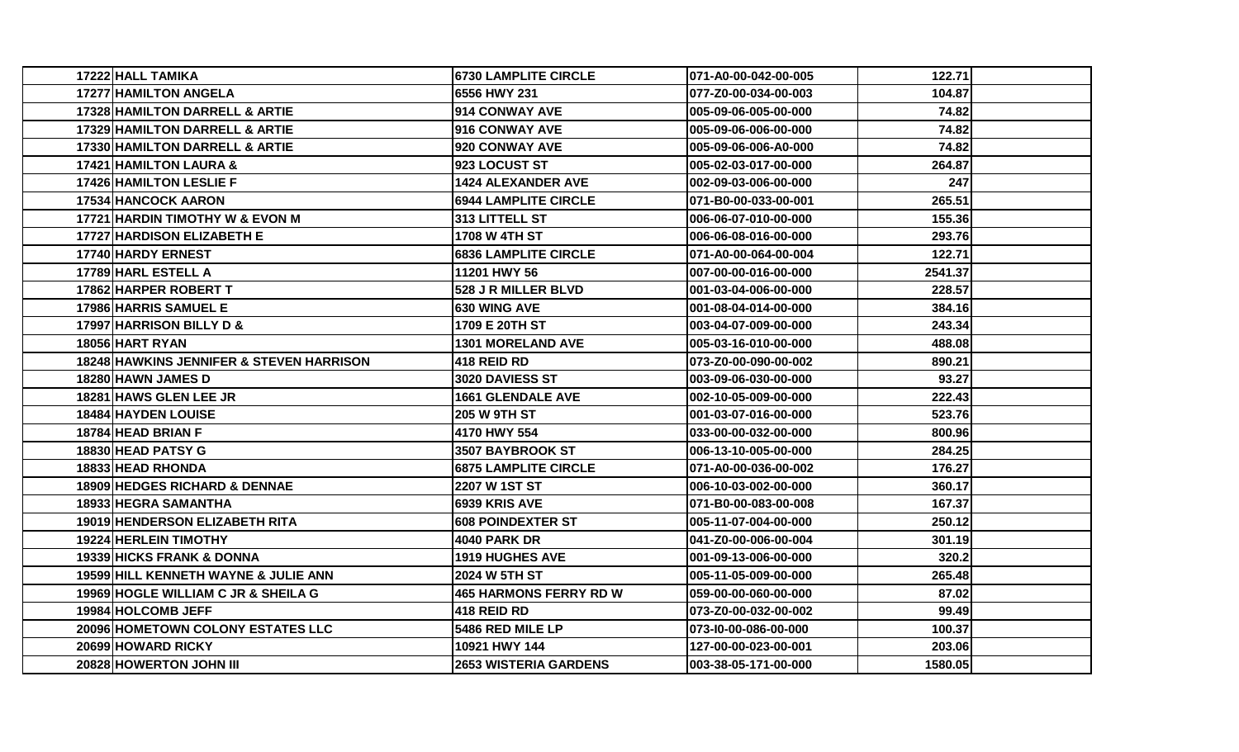| 17222 HALL TAMIKA                                   | <b>6730 LAMPLITE CIRCLE</b>   | 071-A0-00-042-00-005  | 122.71  |  |
|-----------------------------------------------------|-------------------------------|-----------------------|---------|--|
| 17277 HAMILTON ANGELA                               | 6556 HWY 231                  | l077-Z0-00-034-00-003 | 104.87  |  |
| 17328 HAMILTON DARRELL & ARTIE                      | 914 CONWAY AVE                | l005-09-06-005-00-000 | 74.82   |  |
| 17329 HAMILTON DARRELL & ARTIE                      | 916 CONWAY AVE                | 005-09-06-006-00-000  | 74.82   |  |
| 17330 HAMILTON DARRELL & ARTIE                      | 920 CONWAY AVE                | 005-09-06-006-A0-000  | 74.82   |  |
| 17421 HAMILTON LAURA &                              | 923 LOCUST ST                 | 005-02-03-017-00-000  | 264.87  |  |
| <b>17426 HAMILTON LESLIE F</b>                      | <b>1424 ALEXANDER AVE</b>     | 002-09-03-006-00-000  | 247     |  |
| 17534 HANCOCK AARON                                 | <b>6944 LAMPLITE CIRCLE</b>   | 071-B0-00-033-00-001  | 265.51  |  |
| 17721 HARDIN TIMOTHY W & EVON M                     | 313 LITTELL ST                | l006-06-07-010-00-000 | 155.36  |  |
| <b>17727 HARDISON ELIZABETH E</b>                   | <b>1708 W 4TH ST</b>          | l006-06-08-016-00-000 | 293.76  |  |
| 17740 HARDY ERNEST                                  | <b>6836 LAMPLITE CIRCLE</b>   | 071-A0-00-064-00-004  | 122.71  |  |
| 17789 HARL ESTELL A                                 | 11201 HWY 56                  | 007-00-00-016-00-000  | 2541.37 |  |
| 17862 HARPER ROBERT T                               | 528 J R MILLER BLVD           | 001-03-04-006-00-000  | 228.57  |  |
| 17986 HARRIS SAMUEL E                               | 630 WING AVE                  | 001-08-04-014-00-000  | 384.16  |  |
| 17997 HARRISON BILLY D &                            | 1709 E 20TH ST                | 1003-04-07-009-00-000 | 243.34  |  |
| 18056 HART RYAN                                     | <b>1301 MORELAND AVE</b>      | 005-03-16-010-00-000  | 488.08  |  |
| <b>18248 HAWKINS JENNIFER &amp; STEVEN HARRISON</b> | 418 REID RD                   | 073-Z0-00-090-00-002  | 890.21  |  |
| 18280 HAWN JAMES D                                  | 3020 DAVIESS ST               | 1003-09-06-030-00-000 | 93.27   |  |
| 18281 HAWS GLEN LEE JR                              | <b>1661 GLENDALE AVE</b>      | l002-10-05-009-00-000 | 222.43  |  |
| <b>18484 HAYDEN LOUISE</b>                          | <b>205 W 9TH ST</b>           | l001-03-07-016-00-000 | 523.76  |  |
| 18784 HEAD BRIAN F                                  | 4170 HWY 554                  | 033-00-00-032-00-000  | 800.96  |  |
| 18830 HEAD PATSY G                                  | 3507 BAYBROOK ST              | l006-13-10-005-00-000 | 284.25  |  |
| 18833 HEAD RHONDA                                   | <b>6875 LAMPLITE CIRCLE</b>   | l071-A0-00-036-00-002 | 176.27  |  |
| <b>18909 HEDGES RICHARD &amp; DENNAE</b>            | 2207 W 1ST ST                 | l006-10-03-002-00-000 | 360.17  |  |
| 18933 HEGRA SAMANTHA                                | 6939 KRIS AVE                 | l071-B0-00-083-00-008 | 167.37  |  |
| 19019 HENDERSON ELIZABETH RITA                      | <b>608 POINDEXTER ST</b>      | 005-11-07-004-00-000  | 250.12  |  |
| <b>19224 HERLEIN TIMOTHY</b>                        | 4040 PARK DR                  | 041-Z0-00-006-00-004  | 301.19  |  |
| 19339 HICKS FRANK & DONNA                           | <b>1919 HUGHES AVE</b>        | 001-09-13-006-00-000  | 320.2   |  |
| 19599 HILL KENNETH WAYNE & JULIE ANN                | 2024 W 5TH ST                 | l005-11-05-009-00-000 | 265.48  |  |
| 19969 HOGLE WILLIAM C JR & SHEILA G                 | <b>465 HARMONS FERRY RD W</b> | 1059-00-00-060-00-000 | 87.02   |  |
| 19984 HOLCOMB JEFF                                  | 418 REID RD                   | 073-Z0-00-032-00-002  | 99.49   |  |
| 20096 HOMETOWN COLONY ESTATES LLC                   | 5486 RED MILE LP              | 073-10-00-086-00-000  | 100.37  |  |
| 20699 HOWARD RICKY                                  | 10921 HWY 144                 | 127-00-00-023-00-001  | 203.06  |  |
| 20828 HOWERTON JOHN III                             | <b>2653 WISTERIA GARDENS</b>  | 003-38-05-171-00-000  | 1580.05 |  |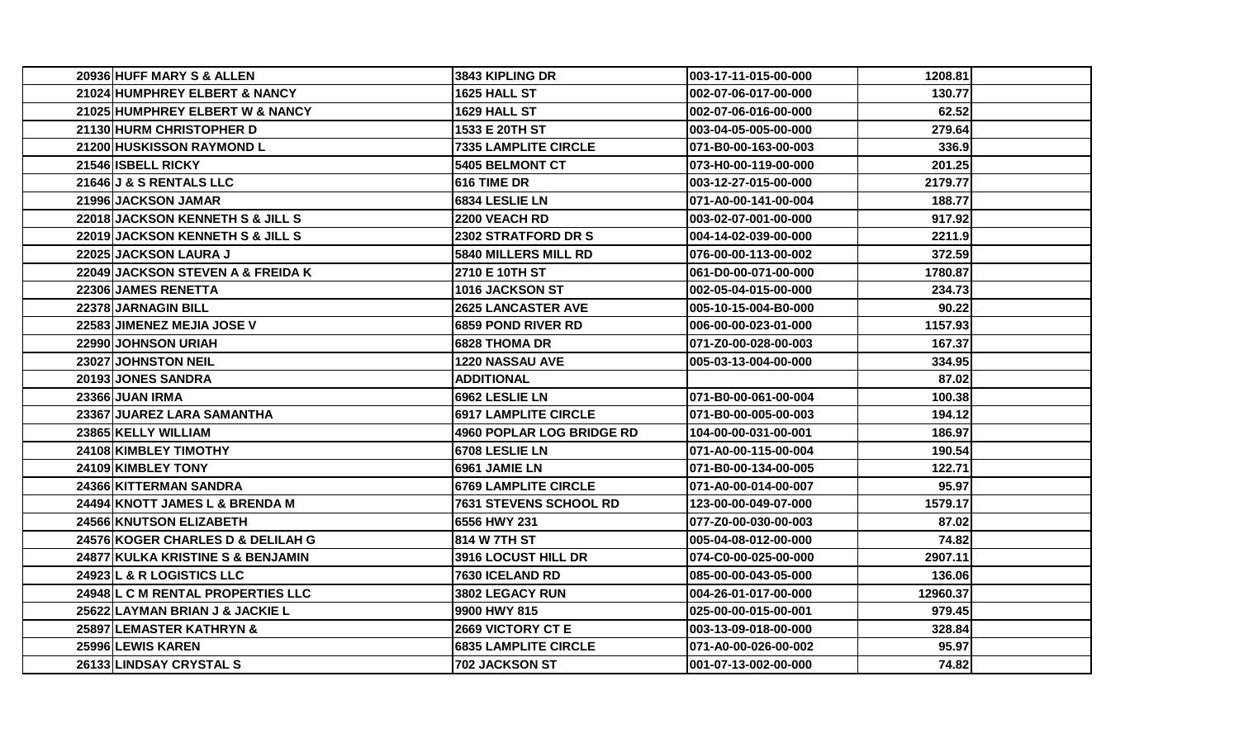| 20936 HUFF MARY S & ALLEN         | <b>3843 KIPLING DR</b>        | 003-17-11-015-00-000  | 1208.81  |  |
|-----------------------------------|-------------------------------|-----------------------|----------|--|
| 21024 HUMPHREY ELBERT & NANCY     | 1625 HALL ST                  | 002-07-06-017-00-000  | 130.77   |  |
| 21025 HUMPHREY ELBERT W & NANCY   | 1629 HALL ST                  | 002-07-06-016-00-000  | 62.52    |  |
| 21130 HURM CHRISTOPHER D          | 1533 E 20TH ST                | 003-04-05-005-00-000  | 279.64   |  |
| 21200 HUSKISSON RAYMOND L         | <b>7335 LAMPLITE CIRCLE</b>   | l071-B0-00-163-00-003 | 336.9    |  |
| 21546 ISBELL RICKY                | <b>5405 BELMONT CT</b>        | 073-H0-00-119-00-000  | 201.25   |  |
| 21646 J & S RENTALS LLC           | 1616 TIME DR                  | 003-12-27-015-00-000  | 2179.77  |  |
| 21996 JACKSON JAMAR               | 6834 LESLIE LN                | 071-A0-00-141-00-004  | 188.77   |  |
| 22018 JACKSON KENNETH S & JILL S  | 2200 VEACH RD                 | 003-02-07-001-00-000  | 917.92   |  |
| 22019 JACKSON KENNETH S & JILL S  | <b>2302 STRATFORD DR S</b>    | 004-14-02-039-00-000  | 2211.9   |  |
| 22025 JACKSON LAURA J             | <b>5840 MILLERS MILL RD</b>   | 076-00-00-113-00-002  | 372.59   |  |
| 22049 JACKSON STEVEN A & FREIDA K | 2710 E 10TH ST                | 061-D0-00-071-00-000  | 1780.87  |  |
| 22306 JAMES RENETTA               | <b>1016 JACKSON ST</b>        | 002-05-04-015-00-000  | 234.73   |  |
| 22378 JARNAGIN BILL               | <b>2625 LANCASTER AVE</b>     | l005-10-15-004-B0-000 | 90.22    |  |
| 22583 JIMENEZ MEJIA JOSE V        | <b>6859 POND RIVER RD</b>     | 006-00-00-023-01-000  | 1157.93  |  |
| 22990 JOHNSON URIAH               | <b>6828 THOMA DR</b>          | 071-Z0-00-028-00-003  | 167.37   |  |
| <b>23027IJOHNSTON NEIL</b>        | <b>1220 NASSAU AVE</b>        | 005-03-13-004-00-000  | 334.95   |  |
| 20193 JONES SANDRA                | <b>ADDITIONAL</b>             |                       | 87.02    |  |
| 23366 JUAN IRMA                   | <b>6962 LESLIE LN</b>         | l071-B0-00-061-00-004 | 100.38   |  |
| 23367 JUAREZ LARA SAMANTHA        | <b>6917 LAMPLITE CIRCLE</b>   | l071-B0-00-005-00-003 | 194.12   |  |
| 23865 KELLY WILLIAM               | 4960 POPLAR LOG BRIDGE RD     | 104-00-00-031-00-001  | 186.97   |  |
| 24108 KIMBLEY TIMOTHY             | <b>6708 LESLIE LN</b>         | 071-A0-00-115-00-004  | 190.54   |  |
| 24109 KIMBLEY TONY                | <b>6961 JAMIE LN</b>          | 071-B0-00-134-00-005  | 122.71   |  |
| 24366 KITTERMAN SANDRA            | <b>6769 LAMPLITE CIRCLE</b>   | l071-A0-00-014-00-007 | 95.97    |  |
| 24494 KNOTT JAMES L & BRENDA M    | <b>7631 STEVENS SCHOOL RD</b> | 123-00-00-049-07-000  | 1579.17  |  |
| 24566 KNUTSON ELIZABETH           | 6556 HWY 231                  | 077-Z0-00-030-00-003  | 87.02    |  |
| 24576 KOGER CHARLES D & DELILAH G | 1814 W 7TH ST                 | 005-04-08-012-00-000  | 74.82    |  |
| 24877 KULKA KRISTINE S & BENJAMIN | 3916 LOCUST HILL DR           | 074-C0-00-025-00-000  | 2907.11  |  |
| 24923 L & R LOGISTICS LLC         | <b>7630 ICELAND RD</b>        | 085-00-00-043-05-000  | 136.06   |  |
| 24948 L C M RENTAL PROPERTIES LLC | 3802 LEGACY RUN               | 004-26-01-017-00-000  | 12960.37 |  |
| 25622 LAYMAN BRIAN J & JACKIE L   | 9900 HWY 815                  | 025-00-00-015-00-001  | 979.45   |  |
| 25897 LEMASTER KATHRYN &          | <b>2669 VICTORY CT E</b>      | 003-13-09-018-00-000  | 328.84   |  |
| 25996 LEWIS KAREN                 | <b>6835 LAMPLITE CIRCLE</b>   | 071-A0-00-026-00-002  | 95.97    |  |
| 26133 LINDSAY CRYSTAL S           | 702 JACKSON ST                | 001-07-13-002-00-000  | 74.82    |  |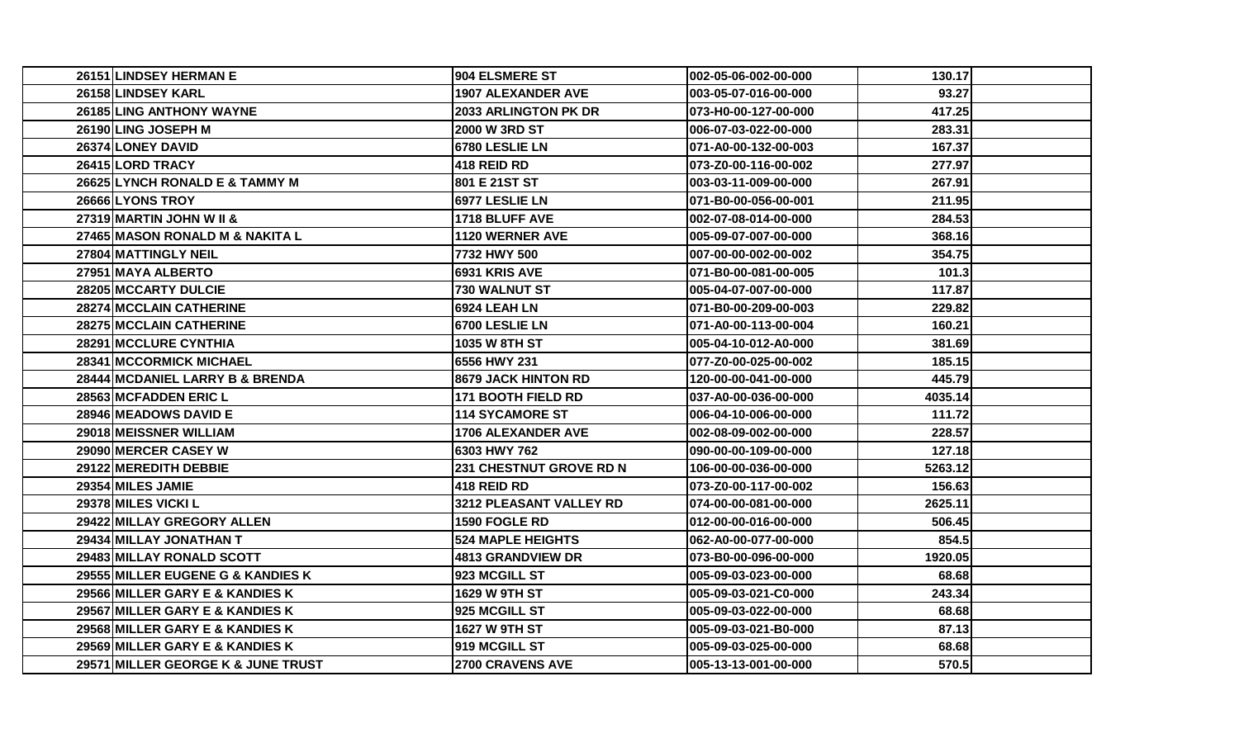| 26151 LINDSEY HERMAN E             | <b>904 ELSMERE ST</b>          | 002-05-06-002-00-000  | 130.17  |  |
|------------------------------------|--------------------------------|-----------------------|---------|--|
| 26158 LINDSEY KARL                 | <b>1907 ALEXANDER AVE</b>      | 003-05-07-016-00-000  | 93.27   |  |
| 26185 LING ANTHONY WAYNE           | <b>2033 ARLINGTON PK DR</b>    | 073-H0-00-127-00-000  | 417.25  |  |
| 26190 LING JOSEPH M                | <b>2000 W 3RD ST</b>           | 006-07-03-022-00-000  | 283.31  |  |
| 26374 LONEY DAVID                  | 6780 LESLIE LN                 | 071-A0-00-132-00-003  | 167.37  |  |
| 26415 LORD TRACY                   | 418 REID RD                    | 073-Z0-00-116-00-002  | 277.97  |  |
| 26625 LYNCH RONALD E & TAMMY M     | 801 E 21ST ST                  | 003-03-11-009-00-000  | 267.91  |  |
| 26666 LYONS TROY                   | 6977 LESLIE LN                 | 071-B0-00-056-00-001  | 211.95  |  |
| 27319 MARTIN JOHN W II &           | 1718 BLUFF AVE                 | 002-07-08-014-00-000  | 284.53  |  |
| 27465 MASON RONALD M & NAKITA L    | 1120 WERNER AVE                | 005-09-07-007-00-000  | 368.16  |  |
| 27804 MATTINGLY NEIL               | 7732 HWY 500                   | 007-00-00-002-00-002  | 354.75  |  |
| 27951 MAYA ALBERTO                 | 6931 KRIS AVE                  | 071-B0-00-081-00-005  | 101.3   |  |
| 28205 MCCARTY DULCIE               | 730 WALNUT ST                  | 005-04-07-007-00-000  | 117.87  |  |
| 28274 MCCLAIN CATHERINE            | 6924 LEAH LN                   | l071-B0-00-209-00-003 | 229.82  |  |
| 28275 MCCLAIN CATHERINE            | 6700 LESLIE LN                 | 071-A0-00-113-00-004  | 160.21  |  |
| 28291 MCCLURE CYNTHIA              | 1035 W 8TH ST                  | 005-04-10-012-A0-000  | 381.69  |  |
| <b>28341IMCCORMICK MICHAEL</b>     | 6556 HWY 231                   | 077-Z0-00-025-00-002  | 185.15  |  |
| 28444 MCDANIEL LARRY B & BRENDA    | 8679 JACK HINTON RD            | 120-00-00-041-00-000  | 445.79  |  |
| 28563 MCFADDEN ERIC L              | <b>171 BOOTH FIELD RD</b>      | 037-A0-00-036-00-000  | 4035.14 |  |
| 28946 MEADOWS DAVID E              | <b>114 SYCAMORE ST</b>         | 006-04-10-006-00-000  | 111.72  |  |
| 29018 MEISSNER WILLIAM             | <b>1706 ALEXANDER AVE</b>      | 002-08-09-002-00-000  | 228.57  |  |
| <b>29090IMERCER CASEY W</b>        | 6303 HWY 762                   | 090-00-00-109-00-000  | 127.18  |  |
| 29122 MEREDITH DEBBIE              | <b>231 CHESTNUT GROVE RD N</b> | 106-00-00-036-00-000  | 5263.12 |  |
| 29354 MILES JAMIE                  | 418 REID RD                    | 073-Z0-00-117-00-002  | 156.63  |  |
| 29378 MILES VICKI L                | 3212 PLEASANT VALLEY RD        | 074-00-00-081-00-000  | 2625.11 |  |
| 29422 MILLAY GREGORY ALLEN         | 1590 FOGLE RD                  | 012-00-00-016-00-000  | 506.45  |  |
| <b>29434 MILLAY JONATHAN T</b>     | <b>524 MAPLE HEIGHTS</b>       | 062-A0-00-077-00-000  | 854.5   |  |
| 29483 MILLAY RONALD SCOTT          | <b>4813 GRANDVIEW DR</b>       | 073-B0-00-096-00-000  | 1920.05 |  |
| 29555 MILLER EUGENE G & KANDIES K  | 923 MCGILL ST                  | 005-09-03-023-00-000  | 68.68   |  |
| 29566 MILLER GARY E & KANDIES K    | 1629 W 9TH ST                  | 005-09-03-021-C0-000  | 243.34  |  |
| 29567 MILLER GARY E & KANDIES K    | 925 MCGILL ST                  | 005-09-03-022-00-000  | 68.68   |  |
| 29568 MILLER GARY E & KANDIES K    | 1627 W 9TH ST                  | 005-09-03-021-B0-000  | 87.13   |  |
| 29569 MILLER GARY E & KANDIES K    | 919 MCGILL ST                  | 005-09-03-025-00-000  | 68.68   |  |
| 29571 MILLER GEORGE K & JUNE TRUST | <b>2700 CRAVENS AVE</b>        | 005-13-13-001-00-000  | 570.5   |  |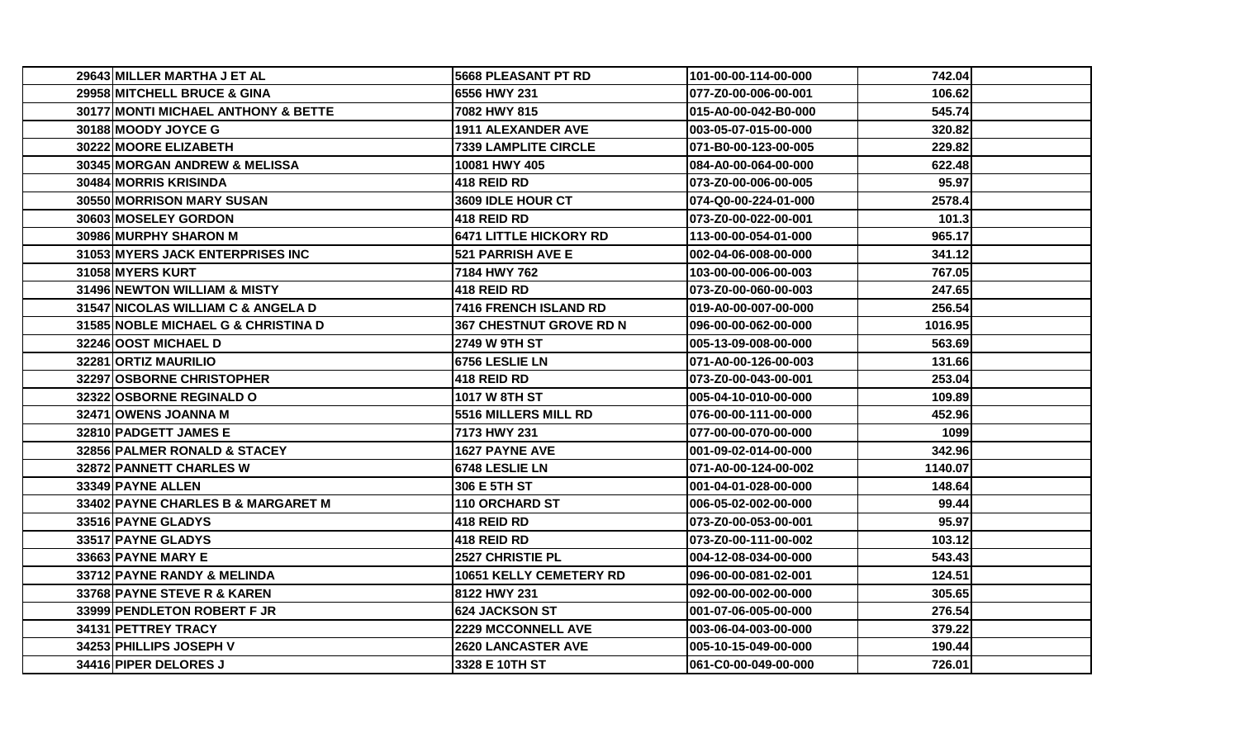| 29643 MILLER MARTHA J ET AL             | <b>5668 PLEASANT PT RD</b>     | 101-00-00-114-00-000  | 742.04  |  |
|-----------------------------------------|--------------------------------|-----------------------|---------|--|
| 29958 MITCHELL BRUCE & GINA             | 6556 HWY 231                   | 077-Z0-00-006-00-001  | 106.62  |  |
| 30177 MONTI MICHAEL ANTHONY & BETTE     | 7082 HWY 815                   | 015-A0-00-042-B0-000  | 545.74  |  |
| 30188 MOODY JOYCE G                     | <b>1911 ALEXANDER AVE</b>      | 003-05-07-015-00-000  | 320.82  |  |
| <b>30222IMOORE ELIZABETH</b>            | <b>7339 LAMPLITE CIRCLE</b>    | 071-B0-00-123-00-005  | 229.82  |  |
| 30345 MORGAN ANDREW & MELISSA           | 10081 HWY 405                  | 084-A0-00-064-00-000  | 622.48  |  |
| 30484 MORRIS KRISINDA                   | 1418 REID RD                   | l073-Z0-00-006-00-005 | 95.97   |  |
| 30550 MORRISON MARY SUSAN               | <b>3609 IDLE HOUR CT</b>       | 074-Q0-00-224-01-000  | 2578.4  |  |
| <b>30603IMOSELEY GORDON</b>             | 1418 REID RD                   | l073-Z0-00-022-00-001 | 101.3   |  |
| 30986 MURPHY SHARON M                   | <b>6471 LITTLE HICKORY RD</b>  | 113-00-00-054-01-000  | 965.17  |  |
| 31053 MYERS JACK ENTERPRISES INC        | <b>521 PARRISH AVE E</b>       | 002-04-06-008-00-000  | 341.12  |  |
| 31058 MYERS KURT                        | 7184 HWY 762                   | 103-00-00-006-00-003  | 767.05  |  |
| 31496 NEWTON WILLIAM & MISTY            | <b>418 REID RD</b>             | 073-Z0-00-060-00-003  | 247.65  |  |
| 31547 NICOLAS WILLIAM C & ANGELA D      | 7416 FRENCH ISLAND RD          | 019-A0-00-007-00-000  | 256.54  |  |
| 31585 NOBLE MICHAEL G & CHRISTINA D     | <b>367 CHESTNUT GROVE RD N</b> | 096-00-00-062-00-000  | 1016.95 |  |
| 32246 OOST MICHAEL D                    | <b>2749 W 9TH ST</b>           | 005-13-09-008-00-000  | 563.69  |  |
| <b>32281IORTIZ MAURILIO</b>             | <b>16756 LESLIE LN</b>         | 071-A0-00-126-00-003  | 131.66  |  |
| 32297 OSBORNE CHRISTOPHER               | <b>418 REID RD</b>             | 073-Z0-00-043-00-001  | 253.04  |  |
| 32322 OSBORNE REGINALD O                | <b>1017 W 8TH ST</b>           | 005-04-10-010-00-000  | 109.89  |  |
| 32471 OWENS JOANNA M                    | <b>5516 MILLERS MILL RD</b>    | l076-00-00-111-00-000 | 452.96  |  |
| 32810 PADGETT JAMES E                   | 7173 HWY 231                   | 077-00-00-070-00-000  | 1099    |  |
| <b>32856IPALMER RONALD &amp; STACEY</b> | 1627 PAYNE AVE                 | 001-09-02-014-00-000  | 342.96  |  |
| 32872 PANNETT CHARLES W                 | 6748 LESLIE LN                 | 071-A0-00-124-00-002  | 1140.07 |  |
| 33349 PAYNE ALLEN                       | 1306 E 5TH ST                  | 001-04-01-028-00-000  | 148.64  |  |
| 33402 PAYNE CHARLES B & MARGARET M      | 110 ORCHARD ST                 | 006-05-02-002-00-000  | 99.44   |  |
| 33516 PAYNE GLADYS                      | <b>418 REID RD</b>             | 073-Z0-00-053-00-001  | 95.97   |  |
| <b>33517IPAYNE GLADYS</b>               | 1418 REID RD                   | 073-Z0-00-111-00-002  | 103.12  |  |
| 33663 PAYNE MARY E                      | <b>2527 CHRISTIE PL</b>        | 004-12-08-034-00-000  | 543.43  |  |
| 33712 PAYNE RANDY & MELINDA             | 10651 KELLY CEMETERY RD        | 096-00-00-081-02-001  | 124.51  |  |
| <b>33768IPAYNE STEVE R &amp; KAREN</b>  | 8122 HWY 231                   | 092-00-00-002-00-000  | 305.65  |  |
| 33999 PENDLETON ROBERT F JR             | <b>624 JACKSON ST</b>          | 001-07-06-005-00-000  | 276.54  |  |
| 34131 PETTREY TRACY                     | <b>2229 MCCONNELL AVE</b>      | 003-06-04-003-00-000  | 379.22  |  |
| 34253 PHILLIPS JOSEPH V                 | <b>2620 LANCASTER AVE</b>      | 005-10-15-049-00-000  | 190.44  |  |
| 34416 PIPER DELORES J                   | 3328 E 10TH ST                 | 061-C0-00-049-00-000  | 726.01  |  |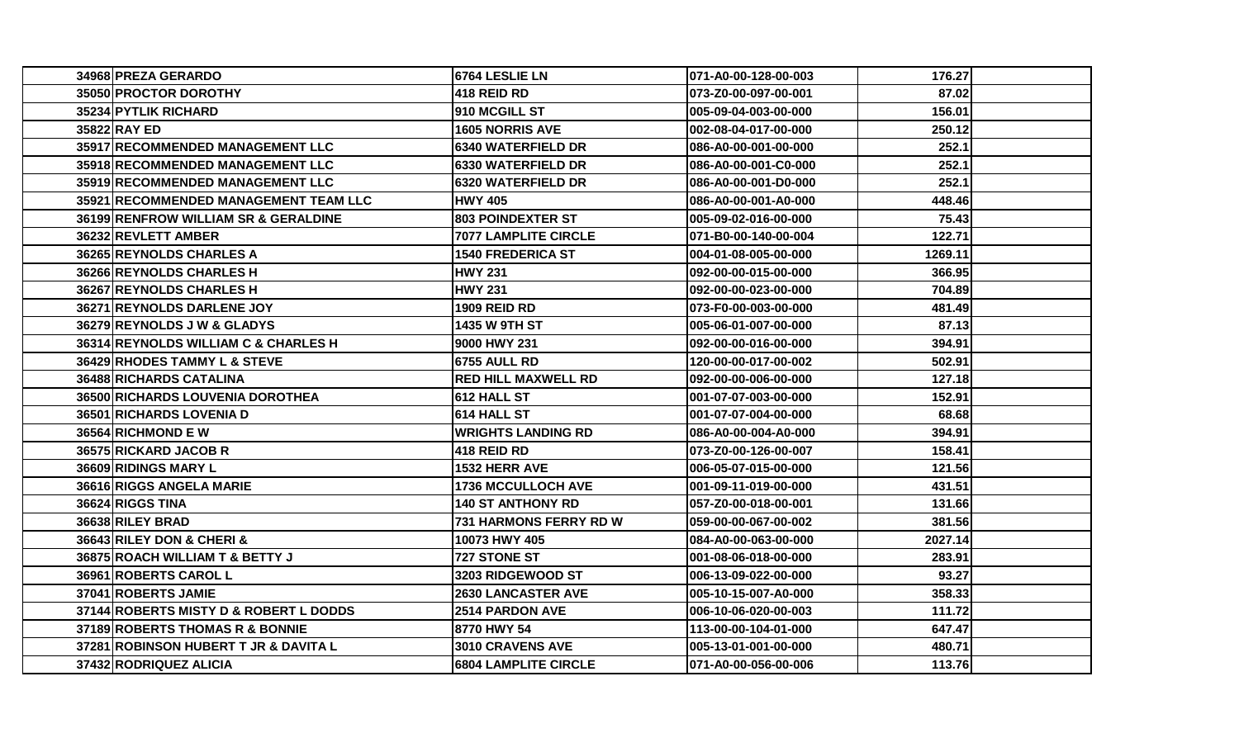| 34968 PREZA GERARDO                     | 6764 LESLIE LN                | 071-A0-00-128-00-003 | 176.27  |  |
|-----------------------------------------|-------------------------------|----------------------|---------|--|
| 35050 PROCTOR DOROTHY                   | <b>418 REID RD</b>            | 073-Z0-00-097-00-001 | 87.02   |  |
| 35234 PYTLIK RICHARD                    | 910 MCGILL ST                 | 005-09-04-003-00-000 | 156.01  |  |
| 35822 RAY ED                            | <b>1605 NORRIS AVE</b>        | 002-08-04-017-00-000 | 250.12  |  |
| 35917 RECOMMENDED MANAGEMENT LLC        | <b>6340 WATERFIELD DR</b>     | 086-A0-00-001-00-000 | 252.1   |  |
| 35918 RECOMMENDED MANAGEMENT LLC        | <b>6330 WATERFIELD DR</b>     | 086-A0-00-001-C0-000 | 252.1   |  |
| <b>35919IRECOMMENDED MANAGEMENT LLC</b> | <b>16320 WATERFIELD DR</b>    | 086-A0-00-001-D0-000 | 252.1   |  |
| 35921 RECOMMENDED MANAGEMENT TEAM LLC   | <b>HWY 405</b>                | 086-A0-00-001-A0-000 | 448.46  |  |
| 36199 RENFROW WILLIAM SR & GERALDINE    | <b>803 POINDEXTER ST</b>      | 005-09-02-016-00-000 | 75.43   |  |
| 36232 REVLETT AMBER                     | 7077 LAMPLITE CIRCLE          | 071-B0-00-140-00-004 | 122.71  |  |
| 36265 REYNOLDS CHARLES A                | <b>1540 FREDERICA ST</b>      | 004-01-08-005-00-000 | 1269.11 |  |
| 36266 REYNOLDS CHARLES H                | <b>HWY 231</b>                | 092-00-00-015-00-000 | 366.95  |  |
| 36267 REYNOLDS CHARLES H                | <b>HWY 231</b>                | 092-00-00-023-00-000 | 704.89  |  |
| 36271 REYNOLDS DARLENE JOY              | 1909 REID RD                  | 073-F0-00-003-00-000 | 481.49  |  |
| 36279 REYNOLDS J W & GLADYS             | <b>1435 W 9TH ST</b>          | 005-06-01-007-00-000 | 87.13   |  |
| 36314 REYNOLDS WILLIAM C & CHARLES H    | 9000 HWY 231                  | 092-00-00-016-00-000 | 394.91  |  |
| <b>36429 RHODES TAMMY L &amp; STEVE</b> | 16755 AULL RD                 | 120-00-00-017-00-002 | 502.91  |  |
| 36488 RICHARDS CATALINA                 | <b>RED HILL MAXWELL RD</b>    | 092-00-00-006-00-000 | 127.18  |  |
| 36500 RICHARDS LOUVENIA DOROTHEA        | 612 HALL ST                   | 001-07-07-003-00-000 | 152.91  |  |
| 36501 RICHARDS LOVENIA D                | 614 HALL ST                   | 001-07-07-004-00-000 | 68.68   |  |
| 36564 RICHMOND E W                      | <b>WRIGHTS LANDING RD</b>     | 086-A0-00-004-A0-000 | 394.91  |  |
| 36575 RICKARD JACOB R                   | 1418 REID RD                  | 073-Z0-00-126-00-007 | 158.41  |  |
| 36609 RIDINGS MARY L                    | <b>1532 HERR AVE</b>          | 006-05-07-015-00-000 | 121.56  |  |
| 36616 RIGGS ANGELA MARIE                | <b>1736 MCCULLOCH AVE</b>     | 001-09-11-019-00-000 | 431.51  |  |
| 36624 RIGGS TINA                        | <b>140 ST ANTHONY RD</b>      | 057-Z0-00-018-00-001 | 131.66  |  |
| 36638 RILEY BRAD                        | <b>731 HARMONS FERRY RD W</b> | 059-00-00-067-00-002 | 381.56  |  |
| 36643 RILEY DON & CHERI &               | 10073 HWY 405                 | 084-A0-00-063-00-000 | 2027.14 |  |
| 36875 ROACH WILLIAM T & BETTY J         | <b>727 STONE ST</b>           | 001-08-06-018-00-000 | 283.91  |  |
| 36961 ROBERTS CAROL L                   | 3203 RIDGEWOOD ST             | 006-13-09-022-00-000 | 93.27   |  |
| 37041 ROBERTS JAMIE                     | <b>2630 LANCASTER AVE</b>     | 005-10-15-007-A0-000 | 358.33  |  |
| 37144 ROBERTS MISTY D & ROBERT L DODDS  | <b>2514 PARDON AVE</b>        | 006-10-06-020-00-003 | 111.72  |  |
| 37189 ROBERTS THOMAS R & BONNIE         | 8770 HWY 54                   | 113-00-00-104-01-000 | 647.47  |  |
| 37281 ROBINSON HUBERT T JR & DAVITA L   | 3010 CRAVENS AVE              | 005-13-01-001-00-000 | 480.71  |  |
| 37432 RODRIQUEZ ALICIA                  | <b>6804 LAMPLITE CIRCLE</b>   | 071-A0-00-056-00-006 | 113.76  |  |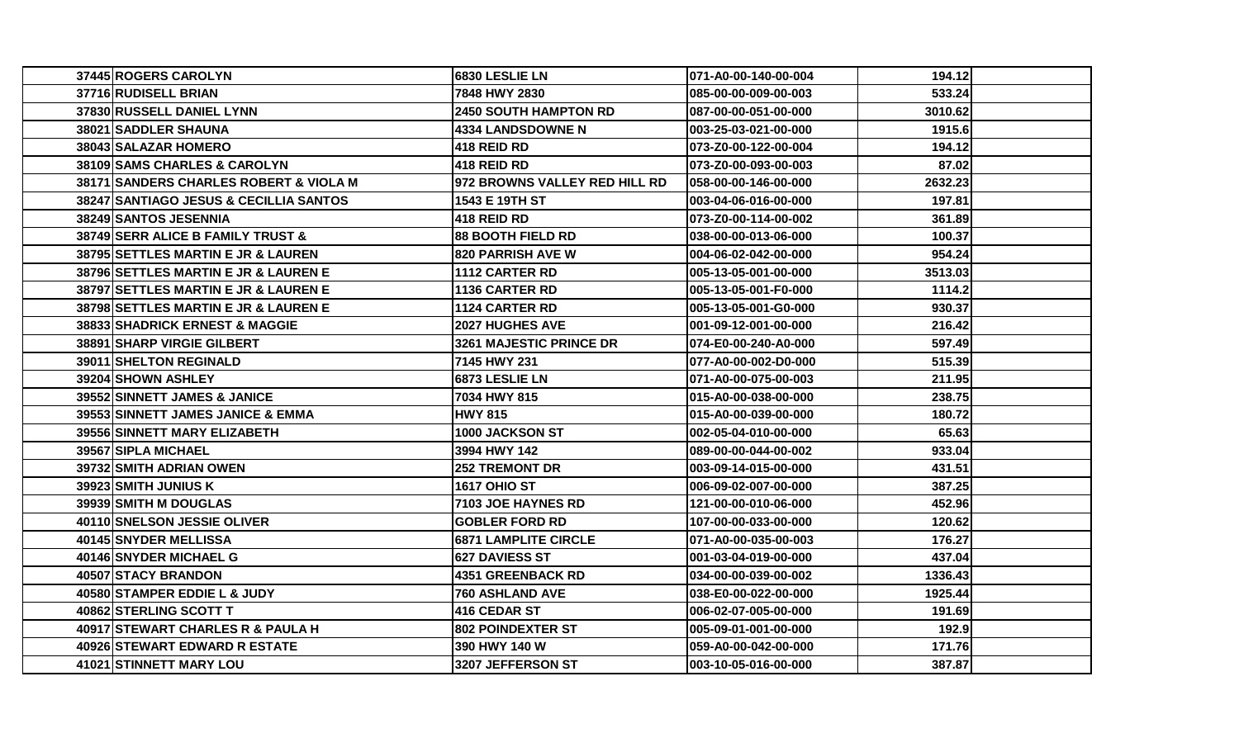| 37445 ROGERS CAROLYN                   | 6830 LESLIE LN                 | 071-A0-00-140-00-004 | 194.121 |
|----------------------------------------|--------------------------------|----------------------|---------|
| 37716 RUDISELL BRIAN                   | 7848 HWY 2830                  | 085-00-00-009-00-003 | 533.24  |
| 37830 RUSSELL DANIEL LYNN              | <b>2450 SOUTH HAMPTON RD</b>   | 087-00-00-051-00-000 | 3010.62 |
| 38021 SADDLER SHAUNA                   | <b>4334 LANDSDOWNE N</b>       | 003-25-03-021-00-000 | 1915.6  |
| 38043 SALAZAR HOMERO                   | 1418 REID RD                   | 073-Z0-00-122-00-004 | 194.12  |
| 38109 SAMS CHARLES & CAROLYN           | <b>418 REID RD</b>             | 073-Z0-00-093-00-003 | 87.02   |
| 38171 SANDERS CHARLES ROBERT & VIOLA M | 972 BROWNS VALLEY RED HILL RD  | 058-00-00-146-00-000 | 2632.23 |
| 38247 SANTIAGO JESUS & CECILLIA SANTOS | 1543 E 19TH ST                 | 003-04-06-016-00-000 | 197.81  |
| 38249 SANTOS JESENNIA                  | 1418 REID RD                   | 073-Z0-00-114-00-002 | 361.89  |
| 38749 SERR ALICE B FAMILY TRUST &      | <b>88 BOOTH FIELD RD</b>       | 038-00-00-013-06-000 | 100.37  |
| 38795 SETTLES MARTIN E JR & LAUREN     | <b>820 PARRISH AVE W</b>       | 004-06-02-042-00-000 | 954.24  |
| 38796 SETTLES MARTIN E JR & LAUREN E   | 1112 CARTER RD                 | 005-13-05-001-00-000 | 3513.03 |
| 38797 SETTLES MARTIN E JR & LAUREN E   | 1136 CARTER RD                 | 005-13-05-001-F0-000 | 1114.2  |
| 38798 SETTLES MARTIN E JR & LAUREN E   | 1124 CARTER RD                 | 005-13-05-001-G0-000 | 930.37  |
| 38833 SHADRICK ERNEST & MAGGIE         | <b>2027 HUGHES AVE</b>         | 001-09-12-001-00-000 | 216.42  |
| 38891 SHARP VIRGIE GILBERT             | <b>3261 MAJESTIC PRINCE DR</b> | 074-E0-00-240-A0-000 | 597.49  |
| <b>39011 SHELTON REGINALD</b>          | 7145 HWY 231                   | 077-A0-00-002-D0-000 | 515.39  |
| 39204 SHOWN ASHLEY                     | 6873 LESLIE LN                 | 071-A0-00-075-00-003 | 211.95  |
| 39552 SINNETT JAMES & JANICE           | 7034 HWY 815                   | 015-A0-00-038-00-000 | 238.75  |
| 39553 SINNETT JAMES JANICE & EMMA      | <b>HWY 815</b>                 | 015-A0-00-039-00-000 | 180.72  |
| 39556 SINNETT MARY ELIZABETH           | 1000 JACKSON ST                | 002-05-04-010-00-000 | 65.63   |
| 39567 SIPLA MICHAEL                    | 3994 HWY 142                   | 089-00-00-044-00-002 | 933.04  |
| 39732 SMITH ADRIAN OWEN                | <b>252 TREMONT DR</b>          | 003-09-14-015-00-000 | 431.51  |
| 39923 SMITH JUNIUS K                   | 1617 OHIO ST                   | 006-09-02-007-00-000 | 387.25  |
| 39939 SMITH M DOUGLAS                  | 7103 JOE HAYNES RD             | 121-00-00-010-06-000 | 452.96  |
| 40110 SNELSON JESSIE OLIVER            | <b>GOBLER FORD RD</b>          | 107-00-00-033-00-000 | 120.62  |
| 40145 SNYDER MELLISSA                  | <b>6871 LAMPLITE CIRCLE</b>    | 071-A0-00-035-00-003 | 176.27  |
| 40146 SNYDER MICHAEL G                 | <b>1627 DAVIESS ST</b>         | 001-03-04-019-00-000 | 437.04  |
| 40507 STACY BRANDON                    | 4351 GREENBACK RD              | 034-00-00-039-00-002 | 1336.43 |
| 40580 STAMPER EDDIE L & JUDY           | <b>760 ASHLAND AVE</b>         | 038-E0-00-022-00-000 | 1925.44 |
| 40862 STERLING SCOTT T                 | 416 CEDAR ST                   | 006-02-07-005-00-000 | 191.69  |
| 40917 STEWART CHARLES R & PAULA H      | <b>802 POINDEXTER ST</b>       | 005-09-01-001-00-000 | 192.9   |
| 40926 STEWART EDWARD R ESTATE          | 390 HWY 140 W                  | 059-A0-00-042-00-000 | 171.76  |
| 41021 STINNETT MARY LOU                | 3207 JEFFERSON ST              | 003-10-05-016-00-000 | 387.87  |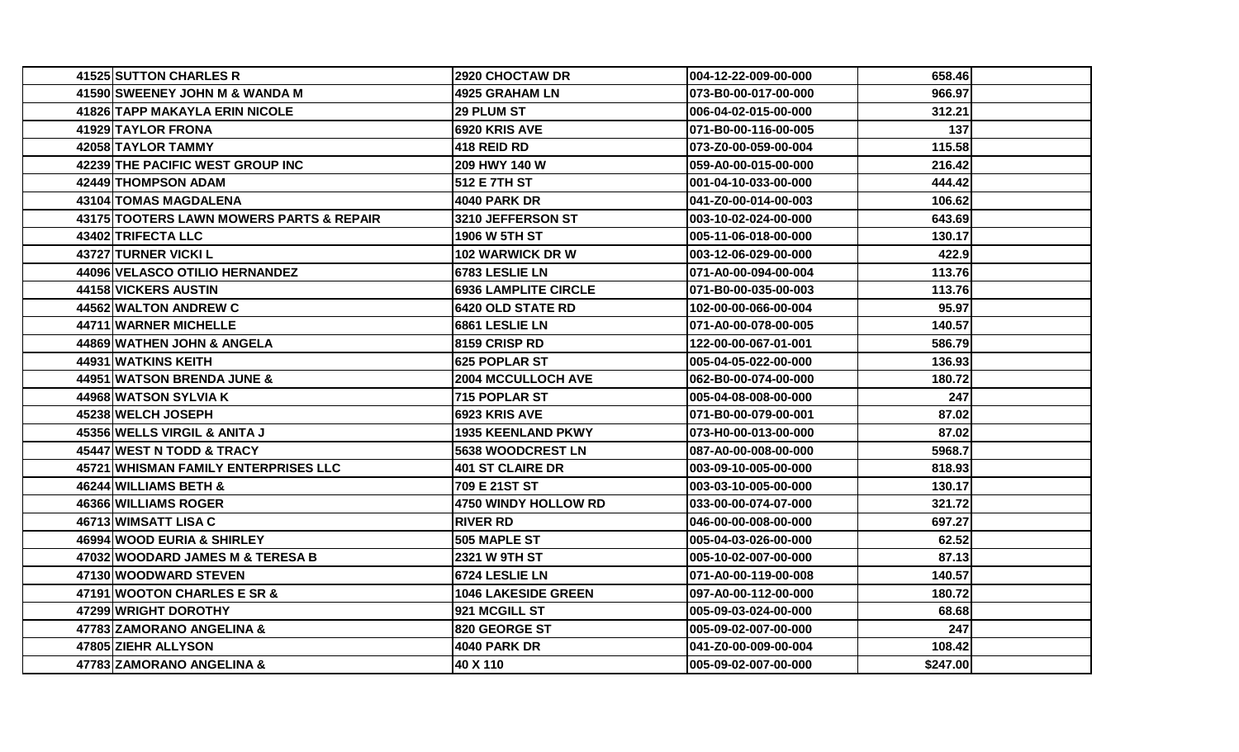| 41525 SUTTON CHARLES R                   | 2920 CHOCTAW DR             | 004-12-22-009-00-000 | 658.46   |  |
|------------------------------------------|-----------------------------|----------------------|----------|--|
| 41590 SWEENEY JOHN M & WANDA M           | 4925 GRAHAM LN              | 073-B0-00-017-00-000 | 966.97   |  |
| 41826 TAPP MAKAYLA ERIN NICOLE           | <b>29 PLUM ST</b>           | 006-04-02-015-00-000 | 312.21   |  |
| 41929 TAYLOR FRONA                       | <b>6920 KRIS AVE</b>        | 071-B0-00-116-00-005 | 137      |  |
| 420581TAYLOR TAMMY                       | <b>418 REID RD</b>          | 073-Z0-00-059-00-004 | 115.58   |  |
| 42239 THE PACIFIC WEST GROUP INC         | 209 HWY 140 W               | 059-A0-00-015-00-000 | 216.42   |  |
| 42449 THOMPSON ADAM                      | <b>512 E 7TH ST</b>         | 001-04-10-033-00-000 | 444.42   |  |
| 43104 TOMAS MAGDALENA                    | 4040 PARK DR                | 041-Z0-00-014-00-003 | 106.62   |  |
| 43175 TOOTERS LAWN MOWERS PARTS & REPAIR | 3210 JEFFERSON ST           | 003-10-02-024-00-000 | 643.69   |  |
| <b>43402 TRIFECTA LLC</b>                | <b>1906 W 5TH ST</b>        | 005-11-06-018-00-000 | 130.17   |  |
| 43727 TURNER VICKI L                     | 102 WARWICK DR W            | 003-12-06-029-00-000 | 422.9    |  |
| 44096 VELASCO OTILIO HERNANDEZ           | 6783 LESLIE LN              | 071-A0-00-094-00-004 | 113.76   |  |
| 44158 VICKERS AUSTIN                     | <b>6936 LAMPLITE CIRCLE</b> | 071-B0-00-035-00-003 | 113.76   |  |
| 44562 WALTON ANDREW C                    | <b>6420 OLD STATE RD</b>    | 102-00-00-066-00-004 | 95.97    |  |
| 44711 WARNER MICHELLE                    | 6861 LESLIE LN              | 071-A0-00-078-00-005 | 140.57   |  |
| 44869 WATHEN JOHN & ANGELA               | <b>8159 CRISP RD</b>        | 122-00-00-067-01-001 | 586.79   |  |
| 44931 WATKINS KEITH                      | 625 POPLAR ST               | 005-04-05-022-00-000 | 136.93   |  |
| 44951 WATSON BRENDA JUNE &               | <b>2004 MCCULLOCH AVE</b>   | 062-B0-00-074-00-000 | 180.72   |  |
| 44968 WATSON SYLVIA K                    | 715 POPLAR ST               | 005-04-08-008-00-000 | 247      |  |
| 45238 WELCH JOSEPH                       | <b>6923 KRIS AVE</b>        | 071-B0-00-079-00-001 | 87.02    |  |
| 45356 WELLS VIRGIL & ANITA J             | <b>1935 KEENLAND PKWY</b>   | 073-H0-00-013-00-000 | 87.02    |  |
| 45447 WEST N TODD & TRACY                | <b>5638 WOODCREST LN</b>    | 087-A0-00-008-00-000 | 5968.7   |  |
| 45721 WHISMAN FAMILY ENTERPRISES LLC     | 401 ST CLAIRE DR            | 003-09-10-005-00-000 | 818.93   |  |
| 46244 WILLIAMS BETH &                    | 709 E 21ST ST               | 003-03-10-005-00-000 | 130.17   |  |
| <b>46366 WILLIAMS ROGER</b>              | 4750 WINDY HOLLOW RD        | 033-00-00-074-07-000 | 321.72   |  |
| 46713 WIMSATT LISA C                     | IRIVER RD.                  | 046-00-00-008-00-000 | 697.27   |  |
| 46994 WOOD EURIA & SHIRLEY               | <b>505 MAPLE ST</b>         | 005-04-03-026-00-000 | 62.52    |  |
| 47032 WOODARD JAMES M & TERESA B         | <b>2321 W 9TH ST</b>        | 005-10-02-007-00-000 | 87.13    |  |
| 47130IWOODWARD STEVEN                    | <b>6724 LESLIE LN</b>       | 071-A0-00-119-00-008 | 140.57   |  |
| 47191 WOOTON CHARLES E SR &              | <b>1046 LAKESIDE GREEN</b>  | 097-A0-00-112-00-000 | 180.72   |  |
| 47299 WRIGHT DOROTHY                     | 921 MCGILL ST               | 005-09-03-024-00-000 | 68.68    |  |
| 47783 ZAMORANO ANGELINA &                | <b>820 GEORGE ST</b>        | 005-09-02-007-00-000 | 247      |  |
| 47805 ZIEHR ALLYSON                      | 4040 PARK DR                | 041-Z0-00-009-00-004 | 108.42   |  |
| 47783 ZAMORANO ANGELINA &                | 40 X 110                    | 005-09-02-007-00-000 | \$247.00 |  |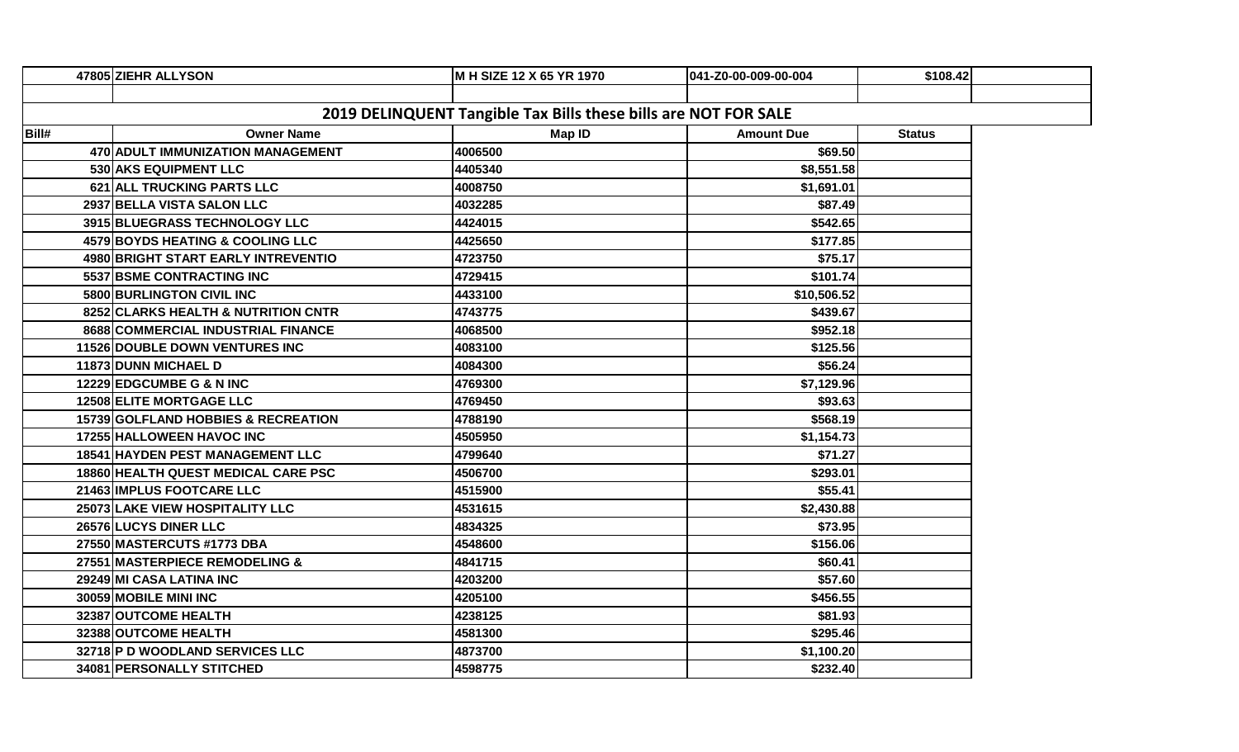|                                                                 | 47805 ZIEHR ALLYSON                   | M H SIZE 12 X 65 YR 1970 | 041-Z0-00-009-00-004 | \$108.42      |  |  |  |  |
|-----------------------------------------------------------------|---------------------------------------|--------------------------|----------------------|---------------|--|--|--|--|
|                                                                 |                                       |                          |                      |               |  |  |  |  |
| 2019 DELINQUENT Tangible Tax Bills these bills are NOT FOR SALE |                                       |                          |                      |               |  |  |  |  |
| Bill#                                                           | <b>Owner Name</b>                     | <b>Map ID</b>            | <b>Amount Due</b>    | <b>Status</b> |  |  |  |  |
|                                                                 | 470 ADULT IMMUNIZATION MANAGEMENT     | 4006500                  | \$69.50              |               |  |  |  |  |
|                                                                 | 530 AKS EQUIPMENT LLC                 | 4405340                  | \$8,551.58           |               |  |  |  |  |
|                                                                 | 621 ALL TRUCKING PARTS LLC            | 4008750                  | \$1,691.01           |               |  |  |  |  |
|                                                                 | 2937 BELLA VISTA SALON LLC            | 4032285                  | \$87.49              |               |  |  |  |  |
|                                                                 | 3915 BLUEGRASS TECHNOLOGY LLC         | 4424015                  | \$542.65             |               |  |  |  |  |
|                                                                 | 4579 BOYDS HEATING & COOLING LLC      | 4425650                  | \$177.85             |               |  |  |  |  |
|                                                                 | 4980 BRIGHT START EARLY INTREVENTIO   | 4723750                  | \$75.17              |               |  |  |  |  |
|                                                                 | 5537 BSME CONTRACTING INC             | 4729415                  | \$101.74             |               |  |  |  |  |
|                                                                 | 5800 BURLINGTON CIVIL INC             | 4433100                  | \$10,506.52          |               |  |  |  |  |
|                                                                 | 8252 CLARKS HEALTH & NUTRITION CNTR   | 4743775                  | \$439.67             |               |  |  |  |  |
|                                                                 | 8688 COMMERCIAL INDUSTRIAL FINANCE    | 4068500                  | \$952.18             |               |  |  |  |  |
|                                                                 | <b>11526 DOUBLE DOWN VENTURES INC</b> | 4083100                  | \$125.56             |               |  |  |  |  |
|                                                                 | 11873 DUNN MICHAEL D                  | 4084300                  | \$56.24              |               |  |  |  |  |
|                                                                 | 12229 EDGCUMBE G & N INC              | 4769300                  | \$7,129.96           |               |  |  |  |  |
|                                                                 | 12508 ELITE MORTGAGE LLC              | 4769450                  | \$93.63              |               |  |  |  |  |
|                                                                 | 15739 GOLFLAND HOBBIES & RECREATION   | 4788190                  | \$568.19             |               |  |  |  |  |
|                                                                 | 17255 HALLOWEEN HAVOC INC             | 4505950                  | \$1,154.73           |               |  |  |  |  |
|                                                                 | 18541 HAYDEN PEST MANAGEMENT LLC      | 4799640                  | \$71.27              |               |  |  |  |  |
|                                                                 | 18860 HEALTH QUEST MEDICAL CARE PSC   | 4506700                  | \$293.01             |               |  |  |  |  |
|                                                                 | 21463 IMPLUS FOOTCARE LLC             | 4515900                  | \$55.41              |               |  |  |  |  |
|                                                                 | 25073 LAKE VIEW HOSPITALITY LLC       | 4531615                  | \$2,430.88           |               |  |  |  |  |
|                                                                 | 26576 LUCYS DINER LLC                 | 4834325                  | \$73.95              |               |  |  |  |  |
|                                                                 | 27550 MASTERCUTS #1773 DBA            | 4548600                  | \$156.06             |               |  |  |  |  |
|                                                                 | 27551 MASTERPIECE REMODELING &        | 4841715                  | \$60.41              |               |  |  |  |  |
|                                                                 | 29249 MI CASA LATINA INC              | 4203200                  | \$57.60              |               |  |  |  |  |
|                                                                 | 30059 MOBILE MINI INC                 | 4205100                  | \$456.55             |               |  |  |  |  |
|                                                                 | 32387 OUTCOME HEALTH                  | 4238125                  | \$81.93              |               |  |  |  |  |
|                                                                 | 32388 OUTCOME HEALTH                  | 4581300                  | \$295.46             |               |  |  |  |  |
|                                                                 | 32718 P D WOODLAND SERVICES LLC       | 4873700                  | \$1,100.20           |               |  |  |  |  |
|                                                                 | 34081 PERSONALLY STITCHED             | 4598775                  | \$232.40             |               |  |  |  |  |